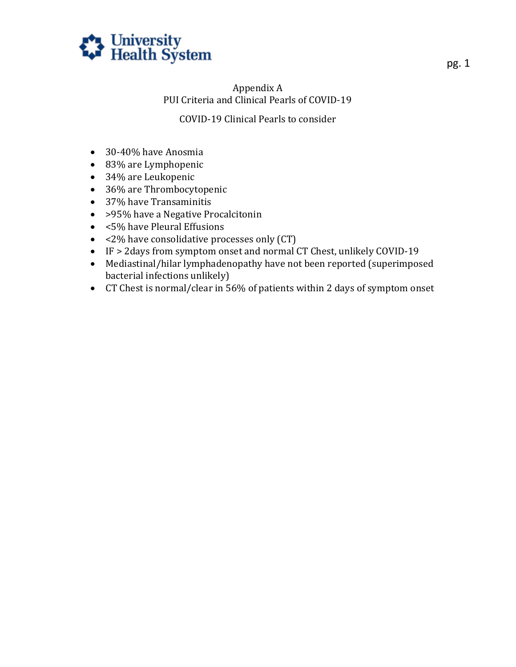

## Appendix A PUI Criteria and Clinical Pearls of COVID-19

## COVID-19 Clinical Pearls to consider

- 30-40% have Anosmia
- 83% are Lymphopenic
- 34% are Leukopenic
- 36% are Thrombocytopenic
- 37% have Transaminitis
- > > > > 95% have a Negative Procalcitonin
- <5% have Pleural Effusions
- <2% have consolidative processes only (CT)
- IF > 2days from symptom onset and normal CT Chest, unlikely COVID-19
- Mediastinal/hilar lymphadenopathy have not been reported (superimposed bacterial infections unlikely)
- CT Chest is normal/clear in 56% of patients within 2 days of symptom onset